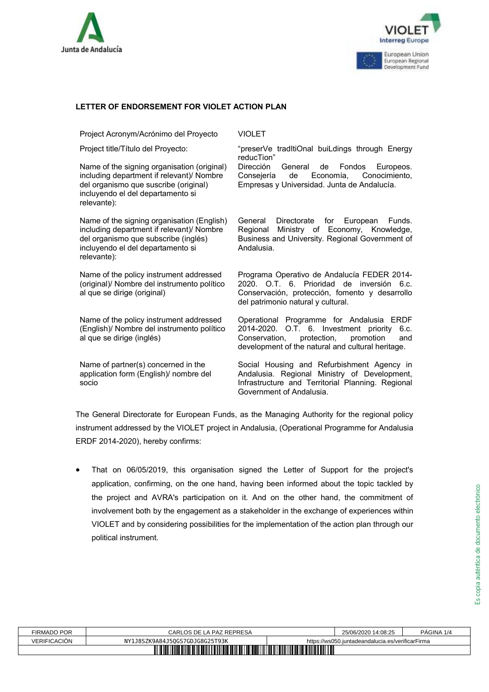



Project Acronym/Acrónimo del Proyecto VIOLET

Name of the signing organisation (original) including department if relevant)/ Nombre del organismo que suscribe (original) incluyendo el del departamento si relevante):

Name of the signing organisation (English) including department if relevant)/ Nombre del organismo que subscribe (inglés) incluyendo el del departamento si relevante):

Name of the policy instrument addressed (original)/ Nombre del instrumento político al que se dirige (original)

Name of the policy instrument addressed (English)/ Nombre del instrumento político al que se dirige (inglés)

Name of partner(s) concerned in the application form (English)/ nombre del socio

Project title/Título del Proyecto: "preserVe tradItiOnal buiLdings through Energy reducTion"

Dirección General de Fondos Europeos.<br>Consejería de Economía, Conocimiento, de Economía, Conocimiento, Empresas y Universidad. Junta de Andalucía.

General Directorate for European Funds. Regional Ministry of Economy, Knowledge, Business and University. Regional Government of Andalusia.

Programa Operativo de Andalucía FEDER 2014- 2020. O.T. 6. Prioridad de inversión 6.c. Conservación, protección, fomento y desarrollo del patrimonio natural y cultural.

Operational Programme for Andalusia ERDF 2014-2020. O.T. 6. Investment priority 6.c.<br>Conservation, protection, promotion and Conservation, protection, promotion and development of the natural and cultural heritage.

Social Housing and Refurbishment Agency in Andalusia. Regional Ministry of Development, Infrastructure and Territorial Planning. Regional Government of Andalusia.

The General Directorate for European Funds, as the Managing Authority for the regional policy instrument addressed by the VIOLET project in Andalusia, (Operational Programme for Andalusia ERDF 2014-2020), hereby confirms:

**EFTER OF ENDORSEMENT FOR VIOLET ACTION PLAN**<br>
Project Moronymi-Acroforms del Proyecto "receive" traditiOnel buildings through Energy<br>
Name of the signing organization (virginal) Direccion Cerroral dis Forceives.<br>
Interact • That on 06/05/2019, this organisation signed the Letter of Support for the project's application, confirming, on the one hand, having been informed about the topic tackled by the project and AVRA's participation on it. And on the other hand, the commitment of involvement both by the engagement as a stakeholder in the exchange of experiences within VIOLET and by considering possibilities for the implementation of the action plan through our political instrument.

| FIRMADO POR                                       | CARLOS DE LA PAZ REPRESA      |                                                  | 25/06/2020 14:08:25 | PÁGINA 1/4 |  |
|---------------------------------------------------|-------------------------------|--------------------------------------------------|---------------------|------------|--|
| VERIFICACION                                      | Y1J8SZK9A84J50GS7GDJG8G25T93K | https://ws050.juntadeandalucia.es/verificarFirma |                     |            |  |
| <b>TIIIIIII</b><br>TIIIIIIIIIIIII<br><u> Hill</u> |                               |                                                  |                     |            |  |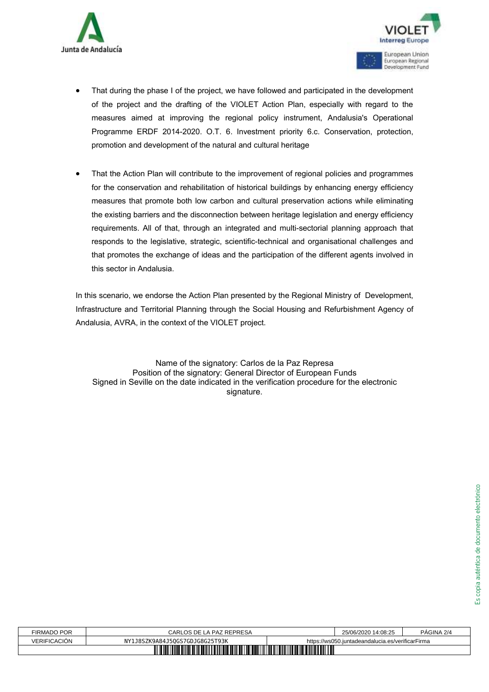



- of the project and the drafting of the VIOLET Action Plan, especially with regard to the measures aimed at improving the regional policy instrument, Andalusia's Operational Programme ERDF 2014-2020. O.T. 6. Investment priority 6.c. Conservation, protection, promotion and development of the natural and cultural heritage
- F That during the phase I of the project we have followed and participated in the development<br>monetary are the phase I or the phase I of the phase I of the phase I or the mass in the project of the interaction of the proj • That the Action Plan will contribute to the improvement of regional policies and programmes for the conservation and rehabilitation of historical buildings by enhancing energy efficiency measures that promote both low carbon and cultural preservation actions while eliminating the existing barriers and the disconnection between heritage legislation and energy efficiency requirements. All of that, through an integrated and multi-sectorial planning approach that responds to the legislative, strategic, scientific-technical and organisational challenges and that promotes the exchange of ideas and the participation of the different agents involved in this sector in Andalusia.

In this scenario, we endorse the Action Plan presented by the Regional Ministry of Development, Infrastructure and Territorial Planning through the Social Housing and Refurbishment Agency of Andalusia, AVRA, in the context of the VIOLET project.

Name of the signatory: Carlos de la Paz Represa Position of the signatory: General Director of European Funds Signed in Seville on the date indicated in the verification procedure for the electronic signature.

| FIRMADO POR                                                  | CARLOS DE LA PAZ REPRESA       |                                                  | 25/06/2020 14:08:25 | PAGINA 2/4 |  |
|--------------------------------------------------------------|--------------------------------|--------------------------------------------------|---------------------|------------|--|
| VERIFICACION                                                 | NY1J8SZK9A84J50GS7GDJG8G25T93K | https://ws050.juntadeandalucia.es/verificarFirma |                     |            |  |
| <u> III III III III III III II</u><br><b>TITLE THE TITLE</b> |                                |                                                  |                     |            |  |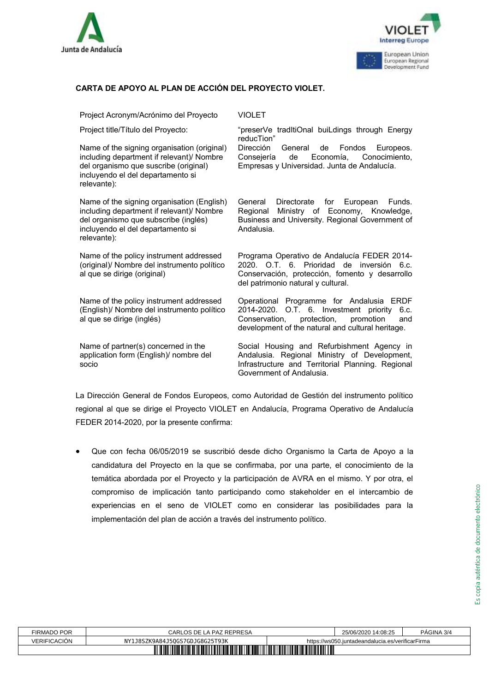



## **CARTA DE APOYO AL PLAN DE ACCIÓN DEL PROYECTO VIOLET.**

Project Acronym/Acrónimo del Proyecto VIOLET

Name of the signing organisation (original) including department if relevant)/ Nombre del organismo que suscribe (original) incluyendo el del departamento si relevante):

Name of the signing organisation (English) including department if relevant)/ Nombre del organismo que subscribe (inglés) incluyendo el del departamento si relevante):

Name of the policy instrument addressed (original)/ Nombre del instrumento político al que se dirige (original)

Name of the policy instrument addressed (English)/ Nombre del instrumento político al que se dirige (inglés)

Name of partner(s) concerned in the application form (English)/ nombre del socio

Project title/Título del Proyecto: "preserVe tradItiOnal buiLdings through Energy reducTion" Dirección General de Fondos Europeos.

Consejería de Economía, Conocimiento, Empresas y Universidad. Junta de Andalucía.

General Directorate for European Funds. Regional Ministry of Economy, Knowledge, Business and University. Regional Government of Andalusia.

Programa Operativo de Andalucía FEDER 2014- 2020. O.T. 6. Prioridad de inversión 6.c. Conservación, protección, fomento y desarrollo del patrimonio natural y cultural.

Operational Programme for Andalusia ERDF 2014-2020. O.T. 6. Investment priority 6.c.<br>Conservation, protection, promotion and Conservation, protection, promotion and development of the natural and cultural heritage.

Social Housing and Refurbishment Agency in Andalusia. Regional Ministry of Development, Infrastructure and Territorial Planning. Regional Government of Andalusia.

La Dirección General de Fondos Europeos, como Autoridad de Gestión del instrumento político regional al que se dirige el Proyecto VIOLET en Andalucía, Programa Operativo de Andalucía FEDER 2014-2020, por la presente confirma:

• Que con fecha 06/05/2019 se suscribió desde dicho Organismo la Carta de Apoyo a la candidatura del Proyecto en la que se confirmaba, por una parte, el conocimiento de la temática abordada por el Proyecto y la participación de AVRA en el mismo. Y por otra, el compromiso de implicación tanto participando como stakeholder en el intercambio de experiencias en el seno de VIOLET como en considerar las posibilidades para la implementación del plan de acción a través del instrumento político.

| FIRMADO POR             | CARLOS DE LA PAZ REPRESA            |                                                  | 25/06/2020 14:08:25 | PAGINA 3/4 |  |
|-------------------------|-------------------------------------|--------------------------------------------------|---------------------|------------|--|
| VERIFICACIÓN            | 1J8SZK9A84J50GS7GDJG8G25T93K<br>NY1 | https://ws050.juntadeandalucia.es/verificarFirma |                     |            |  |
| W<br>IIIIIIIII<br>MITTI |                                     |                                                  |                     |            |  |